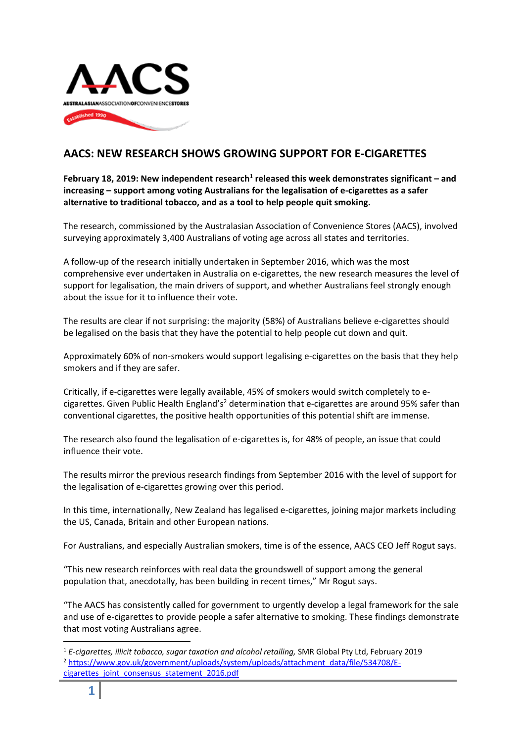

## **AACS: NEW RESEARCH SHOWS GROWING SUPPORT FOR E-CIGARETTES**

February 18, 2019: New independent research<sup>1</sup> released this week demonstrates significant – and **increasing – support among voting Australians for the legalisation of e-cigarettes as a safer alternative to traditional tobacco, and as a tool to help people quit smoking.**

The research, commissioned by the Australasian Association of Convenience Stores (AACS), involved surveying approximately 3,400 Australians of voting age across all states and territories.

A follow-up of the research initially undertaken in September 2016, which was the most comprehensive ever undertaken in Australia on e-cigarettes, the new research measures the level of support for legalisation, the main drivers of support, and whether Australians feel strongly enough about the issue for it to influence their vote.

The results are clear if not surprising: the majority (58%) of Australians believe e-cigarettes should be legalised on the basis that they have the potential to help people cut down and quit.

Approximately 60% of non-smokers would support legalising e-cigarettes on the basis that they help smokers and if they are safer.

Critically, if e-cigarettes were legally available, 45% of smokers would switch completely to ecigarettes. Given Public Health England's<sup>2</sup> determination that e-cigarettes are around 95% safer than conventional cigarettes, the positive health opportunities of this potential shift are immense.

The research also found the legalisation of e-cigarettes is, for 48% of people, an issue that could influence their vote.

The results mirror the previous research findings from September 2016 with the level of support for the legalisation of e-cigarettes growing over this period.

In this time, internationally, New Zealand has legalised e-cigarettes, joining major markets including the US, Canada, Britain and other European nations.

For Australians, and especially Australian smokers, time is of the essence, AACS CEO Jeff Rogut says.

"This new research reinforces with real data the groundswell of support among the general population that, anecdotally, has been building in recent times," Mr Rogut says.

"The AACS has consistently called for government to urgently develop a legal framework for the sale and use of e-cigarettes to provide people a safer alternative to smoking. These findings demonstrate that most voting Australians agree.

**.** <sup>1</sup> *E-cigarettes, illicit tobacco, sugar taxation and alcohol retailing,* SMR Global Pty Ltd, February 2019 <sup>2</sup> [https://www.gov.uk/government/uploads/system/uploads/attachment\\_data/file/534708/E](https://www.gov.uk/government/uploads/system/uploads/attachment_data/file/534708/E-cigarettes_joint_consensus_statement_2016.pdf)cigarettes joint consensus statement 2016.pdf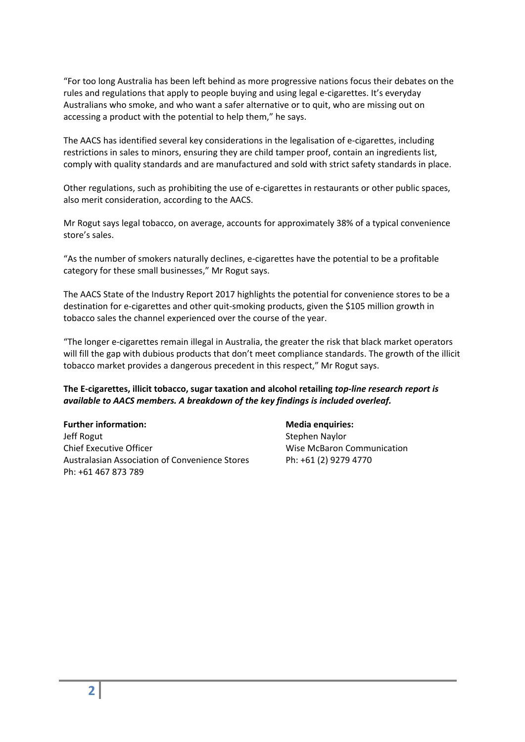"For too long Australia has been left behind as more progressive nations focus their debates on the rules and regulations that apply to people buying and using legal e-cigarettes. It's everyday Australians who smoke, and who want a safer alternative or to quit, who are missing out on accessing a product with the potential to help them," he says.

The AACS has identified several key considerations in the legalisation of e-cigarettes, including restrictions in sales to minors, ensuring they are child tamper proof, contain an ingredients list, comply with quality standards and are manufactured and sold with strict safety standards in place.

Other regulations, such as prohibiting the use of e-cigarettes in restaurants or other public spaces, also merit consideration, according to the AACS.

Mr Rogut says legal tobacco, on average, accounts for approximately 38% of a typical convenience store's sales.

"As the number of smokers naturally declines, e-cigarettes have the potential to be a profitable category for these small businesses," Mr Rogut says.

The AACS State of the Industry Report 2017 highlights the potential for convenience stores to be a destination for e-cigarettes and other quit-smoking products, given the \$105 million growth in tobacco sales the channel experienced over the course of the year.

"The longer e-cigarettes remain illegal in Australia, the greater the risk that black market operators will fill the gap with dubious products that don't meet compliance standards. The growth of the illicit tobacco market provides a dangerous precedent in this respect," Mr Rogut says.

## **The E-cigarettes, illicit tobacco, sugar taxation and alcohol retailing** *top-line research report is available to AACS members. A breakdown of the key findings is included overleaf.*

**Further information: Media enquiries:** Jeff Rogut Naylor Stephen Naylor Chief Executive Officer **Microsoft Chief Executive Officer** Wise McBaron Communication Australasian Association of Convenience Stores Ph: +61 (2) 9279 4770 Ph: +61 467 873 789